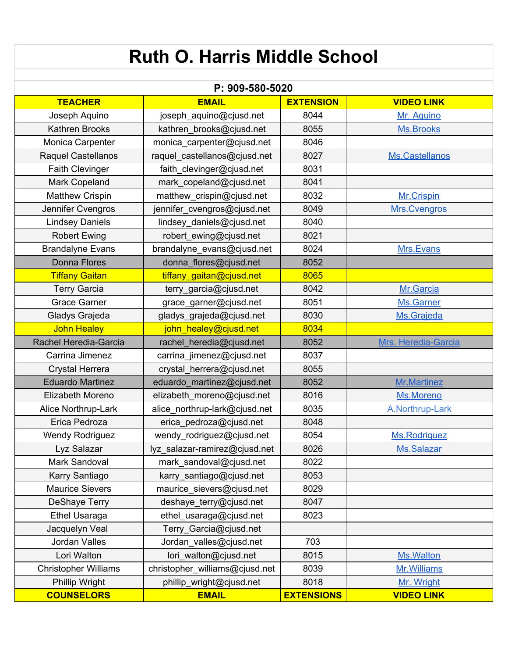| <b>Ruth O. Harris Middle School</b>           |                                                            |                   |                     |  |  |
|-----------------------------------------------|------------------------------------------------------------|-------------------|---------------------|--|--|
|                                               |                                                            |                   |                     |  |  |
|                                               | P: 909-580-5020                                            |                   |                     |  |  |
| <b>TEACHER</b>                                | <b>EMAIL</b>                                               | <b>EXTENSION</b>  | <b>VIDEO LINK</b>   |  |  |
| Joseph Aquino                                 | joseph_aquino@cjusd.net                                    | 8044              | Mr. Aquino          |  |  |
| <b>Kathren Brooks</b>                         | kathren_brooks@cjusd.net                                   | 8055              | <b>Ms.Brooks</b>    |  |  |
| Monica Carpenter                              | monica_carpenter@cjusd.net                                 | 8046              |                     |  |  |
| <b>Raquel Castellanos</b>                     | raquel_castellanos@cjusd.net                               | 8027              | Ms.Castellanos      |  |  |
| <b>Faith Clevinger</b>                        | faith_clevinger@cjusd.net                                  | 8031              |                     |  |  |
| Mark Copeland                                 | mark_copeland@cjusd.net                                    | 8041              |                     |  |  |
| <b>Matthew Crispin</b>                        | matthew_crispin@cjusd.net                                  | 8032              | Mr.Crispin          |  |  |
| Jennifer Cvengros                             | jennifer_cvengros@cjusd.net                                | 8049              | Mrs. Cvengros       |  |  |
| <b>Lindsey Daniels</b>                        | lindsey_daniels@cjusd.net                                  | 8040              |                     |  |  |
| <b>Robert Ewing</b>                           | robert_ewing@cjusd.net                                     | 8021              |                     |  |  |
| <b>Brandalyne Evans</b>                       | brandalyne_evans@cjusd.net                                 | 8024              | Mrs.Evans           |  |  |
| <b>Donna Flores</b>                           | donna flores@cjusd.net                                     | 8052              |                     |  |  |
| <b>Tiffany Gaitan</b>                         | tiffany gaitan@cjusd.net                                   | 8065              |                     |  |  |
| <b>Terry Garcia</b>                           | terry_garcia@cjusd.net                                     | 8042              | Mr.Garcia           |  |  |
| <b>Grace Garner</b>                           | grace_garner@cjusd.net                                     | 8051              | Ms.Garner           |  |  |
| Gladys Grajeda                                | gladys_grajeda@cjusd.net                                   | 8030              | Ms.Grajeda          |  |  |
| <b>John Healey</b>                            | john_healey@cjusd.net                                      | 8034              |                     |  |  |
| Rachel Heredia-Garcia                         | rachel_heredia@cjusd.net                                   | 8052              | Mrs. Heredia-Garcia |  |  |
| Carrina Jimenez                               | carrina_jimenez@cjusd.net                                  | 8037              |                     |  |  |
| <b>Crystal Herrera</b>                        | crystal_herrera@cjusd.net                                  | 8055              |                     |  |  |
| <b>Eduardo Martinez</b>                       | eduardo_martinez@cjusd.net                                 | 8052              | <b>Mr.Martinez</b>  |  |  |
| Elizabeth Moreno                              | elizabeth moreno@cjusd.net                                 | 8016              | Ms.Moreno           |  |  |
| Alice Northrup-Lark                           | alice_northrup-lark@cjusd.net                              | 8035              | A.Northrup-Lark     |  |  |
| Erica Pedroza                                 | erica_pedroza@cjusd.net                                    | 8048              |                     |  |  |
| <b>Wendy Rodriguez</b>                        | wendy_rodriguez@cjusd.net                                  | 8054              | <b>Ms.Rodriguez</b> |  |  |
| Lyz Salazar                                   | lyz_salazar-ramirez@cjusd.net                              | 8026              | Ms.Salazar          |  |  |
| Mark Sandoval                                 | mark_sandoval@cjusd.net                                    | 8022              |                     |  |  |
| Karry Santiago                                | karry_santiago@cjusd.net                                   | 8053              |                     |  |  |
| <b>Maurice Sievers</b>                        | maurice_sievers@cjusd.net                                  | 8029              |                     |  |  |
| <b>DeShaye Terry</b>                          | deshaye_terry@cjusd.net                                    | 8047              |                     |  |  |
| <b>Ethel Usaraga</b>                          | ethel_usaraga@cjusd.net                                    | 8023              |                     |  |  |
| Jacquelyn Veal                                | Terry_Garcia@cjusd.net                                     |                   |                     |  |  |
| Jordan Valles                                 | Jordan_valles@cjusd.net                                    | 703               |                     |  |  |
| Lori Walton                                   | lori_walton@cjusd.net                                      | 8015              | Ms. Walton          |  |  |
|                                               |                                                            | 8039              | Mr. Williams        |  |  |
| <b>Christopher Williams</b><br>Phillip Wright | christopher_williams@cjusd.net<br>phillip_wright@cjusd.net | 8018              | Mr. Wright          |  |  |
| <b>COUNSELORS</b>                             | <b>EMAIL</b>                                               | <b>EXTENSIONS</b> | <b>VIDEO LINK</b>   |  |  |
|                                               |                                                            |                   |                     |  |  |